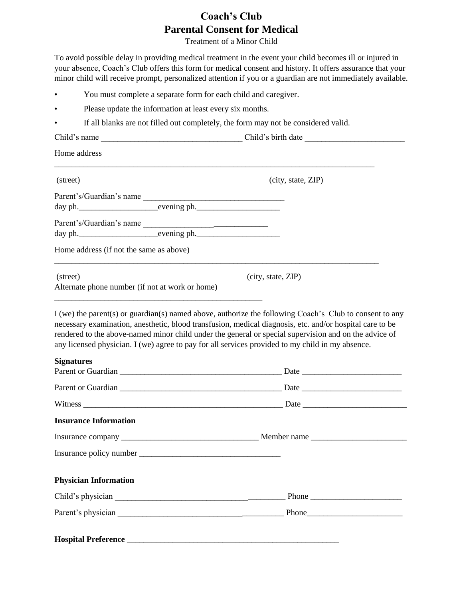## **Coach's Club Parental Consent for Medical**

Treatment of a Minor Child

To avoid possible delay in providing medical treatment in the event your child becomes ill or injured in your absence, Coach's Club offers this form for medical consent and history. It offers assurance that your minor child will receive prompt, personalized attention if you or a guardian are not immediately available.

- You must complete a separate form for each child and caregiver.
- Please update the information at least every six months.

**Hospital Preference** \_\_\_\_\_\_\_\_\_\_\_\_\_\_\_\_\_\_\_\_\_\_\_\_\_\_\_\_\_\_\_\_\_\_\_\_\_\_\_\_\_\_\_\_\_\_\_\_\_\_\_

• If all blanks are not filled out completely, the form may not be considered valid.

| Child's name                                                | Child's birth date                                                                                                                                                                                                                                                                                                                                                                                                               |
|-------------------------------------------------------------|----------------------------------------------------------------------------------------------------------------------------------------------------------------------------------------------------------------------------------------------------------------------------------------------------------------------------------------------------------------------------------------------------------------------------------|
| Home address                                                |                                                                                                                                                                                                                                                                                                                                                                                                                                  |
| (street)                                                    | (city, state, ZIP)                                                                                                                                                                                                                                                                                                                                                                                                               |
|                                                             |                                                                                                                                                                                                                                                                                                                                                                                                                                  |
|                                                             |                                                                                                                                                                                                                                                                                                                                                                                                                                  |
| Parent's/Guardian's name                                    |                                                                                                                                                                                                                                                                                                                                                                                                                                  |
| Home address (if not the same as above)                     |                                                                                                                                                                                                                                                                                                                                                                                                                                  |
| (street)<br>Alternate phone number (if not at work or home) | (city, state, ZIP)                                                                                                                                                                                                                                                                                                                                                                                                               |
|                                                             | I (we) the parent(s) or guardian(s) named above, authorize the following Coach's Club to consent to any<br>necessary examination, anesthetic, blood transfusion, medical diagnosis, etc. and/or hospital care to be<br>rendered to the above-named minor child under the general or special supervision and on the advice of<br>any licensed physician. I (we) agree to pay for all services provided to my child in my absence. |
| <b>Signatures</b>                                           |                                                                                                                                                                                                                                                                                                                                                                                                                                  |
|                                                             |                                                                                                                                                                                                                                                                                                                                                                                                                                  |
|                                                             |                                                                                                                                                                                                                                                                                                                                                                                                                                  |
| <b>Insurance Information</b>                                |                                                                                                                                                                                                                                                                                                                                                                                                                                  |
|                                                             |                                                                                                                                                                                                                                                                                                                                                                                                                                  |
|                                                             |                                                                                                                                                                                                                                                                                                                                                                                                                                  |
| <b>Physician Information</b>                                |                                                                                                                                                                                                                                                                                                                                                                                                                                  |
|                                                             |                                                                                                                                                                                                                                                                                                                                                                                                                                  |
|                                                             |                                                                                                                                                                                                                                                                                                                                                                                                                                  |
|                                                             |                                                                                                                                                                                                                                                                                                                                                                                                                                  |